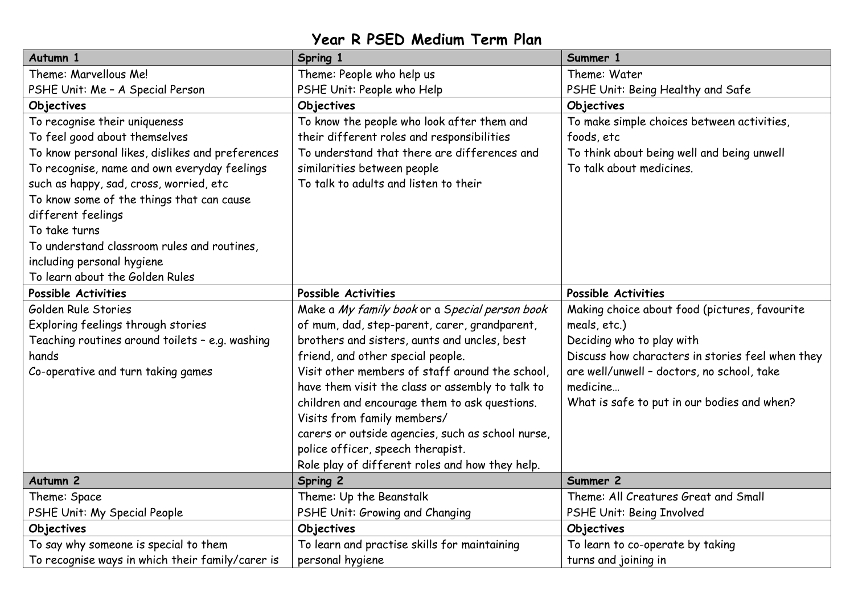## **Year R PSED Medium Term Plan**

| Autumn 1                                         | Spring 1                                          | Summer 1                                         |
|--------------------------------------------------|---------------------------------------------------|--------------------------------------------------|
| Theme: Marvellous Me!                            | Theme: People who help us                         | Theme: Water                                     |
| PSHE Unit: Me - A Special Person                 | PSHE Unit: People who Help                        | PSHE Unit: Being Healthy and Safe                |
| Objectives                                       | Objectives                                        | Objectives                                       |
| To recognise their uniqueness                    | To know the people who look after them and        | To make simple choices between activities,       |
| To feel good about themselves                    | their different roles and responsibilities        | foods, etc                                       |
| To know personal likes, dislikes and preferences | To understand that there are differences and      | To think about being well and being unwell       |
| To recognise, name and own everyday feelings     | similarities between people                       | To talk about medicines.                         |
| such as happy, sad, cross, worried, etc          | To talk to adults and listen to their             |                                                  |
| To know some of the things that can cause        |                                                   |                                                  |
| different feelings                               |                                                   |                                                  |
| To take turns                                    |                                                   |                                                  |
| To understand classroom rules and routines,      |                                                   |                                                  |
| including personal hygiene                       |                                                   |                                                  |
| To learn about the Golden Rules                  |                                                   |                                                  |
| Possible Activities                              | Possible Activities                               | Possible Activities                              |
| Golden Rule Stories                              | Make a My family book or a Special person book    | Making choice about food (pictures, favourite    |
| Exploring feelings through stories               | of mum, dad, step-parent, carer, grandparent,     | meals, etc.)                                     |
| Teaching routines around toilets - e.g. washing  | brothers and sisters, aunts and uncles, best      | Deciding who to play with                        |
| hands                                            | friend, and other special people.                 | Discuss how characters in stories feel when they |
| Co-operative and turn taking games               | Visit other members of staff around the school,   | are well/unwell - doctors, no school, take       |
|                                                  | have them visit the class or assembly to talk to  | medicine                                         |
|                                                  | children and encourage them to ask questions.     | What is safe to put in our bodies and when?      |
|                                                  | Visits from family members/                       |                                                  |
|                                                  | carers or outside agencies, such as school nurse, |                                                  |
|                                                  | police officer, speech therapist.                 |                                                  |
|                                                  | Role play of different roles and how they help.   |                                                  |
| Autumn <sub>2</sub>                              | <b>Spring 2</b>                                   | Summer 2                                         |
| Theme: Space                                     | Theme: Up the Beanstalk                           | Theme: All Creatures Great and Small             |
| PSHE Unit: My Special People                     | PSHE Unit: Growing and Changing                   | PSHE Unit: Being Involved                        |
| Objectives                                       | Objectives                                        | Objectives                                       |
| To say why someone is special to them            | To learn and practise skills for maintaining      | To learn to co-operate by taking                 |
| To recognise ways in which their family/carer is | personal hygiene                                  | turns and joining in                             |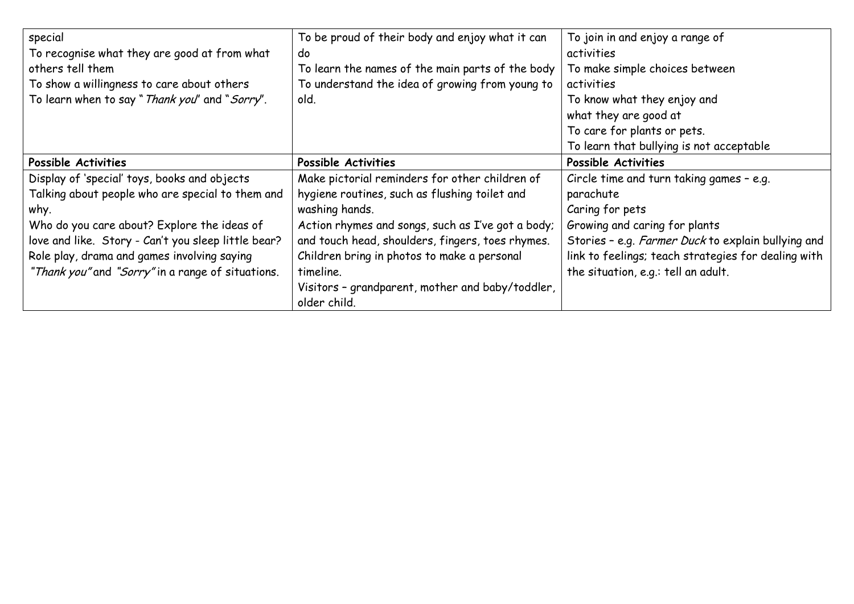| special                                             | To be proud of their body and enjoy what it can   | To join in and enjoy a range of                     |
|-----------------------------------------------------|---------------------------------------------------|-----------------------------------------------------|
| To recognise what they are good at from what        | do                                                | activities                                          |
| others tell them                                    | To learn the names of the main parts of the body  | To make simple choices between                      |
| To show a willingness to care about others          | To understand the idea of growing from young to   | activities                                          |
| To learn when to say " Thank you" and "Sorry".      | old.                                              | To know what they enjoy and                         |
|                                                     |                                                   | what they are good at                               |
|                                                     |                                                   | To care for plants or pets.                         |
|                                                     |                                                   | To learn that bullying is not acceptable            |
| Possible Activities                                 | Possible Activities                               | Possible Activities                                 |
| Display of 'special' toys, books and objects        | Make pictorial reminders for other children of    | Circle time and turn taking games - e.g.            |
| Talking about people who are special to them and    | hygiene routines, such as flushing toilet and     | parachute                                           |
| why.                                                | washing hands.                                    | Caring for pets                                     |
| Who do you care about? Explore the ideas of         | Action rhymes and songs, such as I've got a body; | Growing and caring for plants                       |
| love and like. Story - Can't you sleep little bear? | and touch head, shoulders, fingers, toes rhymes.  | Stories - e.g. Farmer Duck to explain bullying and  |
| Role play, drama and games involving saying         | Children bring in photos to make a personal       | link to feelings; teach strategies for dealing with |
| "Thank you" and "Sorry" in a range of situations.   | timeline.                                         | the situation, e.g.: tell an adult.                 |
|                                                     | Visitors - grandparent, mother and baby/toddler,  |                                                     |
|                                                     | older child.                                      |                                                     |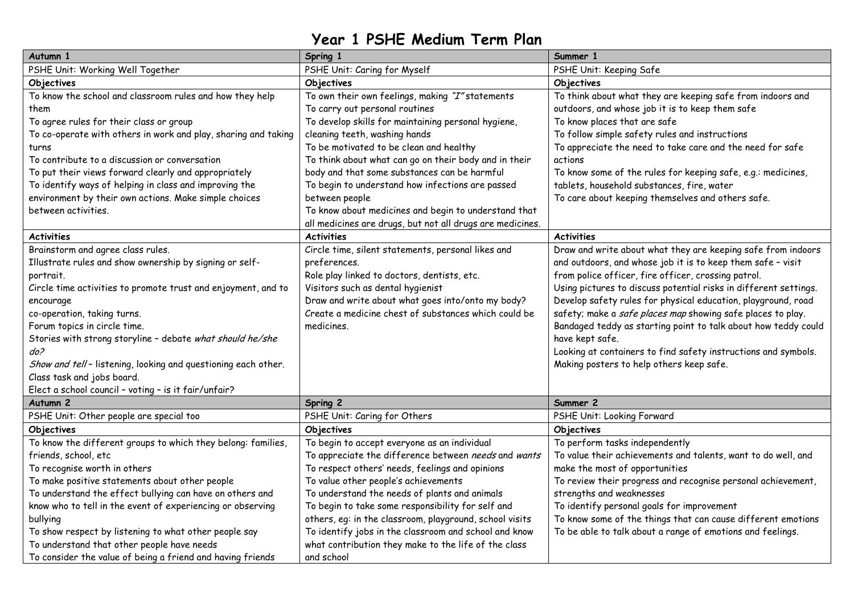## **Year 1 PSHE Medium Term Plan**

| Autumn 1                                                       | Spring 1                                                  | Summer 1                                                         |
|----------------------------------------------------------------|-----------------------------------------------------------|------------------------------------------------------------------|
| PSHE Unit: Working Well Together                               | PSHE Unit: Caring for Myself                              | PSHE Unit: Keeping Safe                                          |
| Objectives                                                     | Objectives                                                | Objectives                                                       |
| To know the school and classroom rules and how they help       | To own their own feelings, making "I" statements          | To think about what they are keeping safe from indoors and       |
| them                                                           | To carry out personal routines                            | outdoors, and whose job it is to keep them safe                  |
| To agree rules for their class or group                        | To develop skills for maintaining personal hygiene,       | To know places that are safe                                     |
| To co-operate with others in work and play, sharing and taking | cleaning teeth, washing hands                             | To follow simple safety rules and instructions                   |
| turns                                                          | To be motivated to be clean and healthy                   | To appreciate the need to take care and the need for safe        |
| To contribute to a discussion or conversation                  | To think about what can go on their body and in their     | actions                                                          |
| To put their views forward clearly and appropriately           | body and that some substances can be harmful              | To know some of the rules for keeping safe, e.g.: medicines,     |
| To identify ways of helping in class and improving the         | To begin to understand how infections are passed          | tablets, household substances, fire, water                       |
| environment by their own actions. Make simple choices          | between people                                            | To care about keeping themselves and others safe.                |
| between activities.                                            | To know about medicines and begin to understand that      |                                                                  |
|                                                                | all medicines are drugs, but not all drugs are medicines. |                                                                  |
| <b>Activities</b>                                              | <b>Activities</b>                                         | <b>Activities</b>                                                |
| Brainstorm and agree class rules.                              | Circle time, silent statements, personal likes and        | Draw and write about what they are keeping safe from indoors     |
| Illustrate rules and show ownership by signing or self-        | preferences.                                              | and outdoors, and whose job it is to keep them safe - visit      |
| portrait.                                                      | Role play linked to doctors, dentists, etc.               | from police officer, fire officer, crossing patrol.              |
| Circle time activities to promote trust and enjoyment, and to  | Visitors such as dental hygienist                         | Using pictures to discuss potential risks in different settings. |
| encourage                                                      | Draw and write about what goes into/onto my body?         | Develop safety rules for physical education, playground, road    |
| co-operation, taking turns.                                    | Create a medicine chest of substances which could be      | safety; make a safe places map showing safe places to play.      |
| Forum topics in circle time.                                   | medicines.                                                | Bandaged teddy as starting point to talk about how teddy could   |
| Stories with strong storyline - debate what should he/she      |                                                           | have kept safe.                                                  |
| do?                                                            |                                                           | Looking at containers to find safety instructions and symbols.   |
| Show and tell-listening, looking and questioning each other.   |                                                           | Making posters to help others keep safe.                         |
| Class task and jobs board.                                     |                                                           |                                                                  |
| Elect a school council - voting - is it fair/unfair?           |                                                           |                                                                  |
| Autumn 2                                                       | Spring 2                                                  | Summer 2                                                         |
| PSHE Unit: Other people are special too                        | PSHE Unit: Caring for Others                              | PSHE Unit: Looking Forward                                       |
| Objectives                                                     | Objectives                                                | Objectives                                                       |
| To know the different groups to which they belong: families,   | To begin to accept everyone as an individual              | To perform tasks independently                                   |
| friends, school, etc                                           | To appreciate the difference between needs and wants      | To value their achievements and talents, want to do well, and    |
| To recognise worth in others                                   | To respect others' needs, feelings and opinions           | make the most of opportunities                                   |
| To make positive statements about other people                 | To value other people's achievements                      | To review their progress and recognise personal achievement,     |
| To understand the effect bullying can have on others and       | To understand the needs of plants and animals             | strengths and weaknesses                                         |
| know who to tell in the event of experiencing or observing     | To begin to take some responsibility for self and         | To identify personal goals for improvement                       |
| bullying                                                       | others, eq: in the classroom, playground, school visits   | To know some of the things that can cause different emotions     |
| To show respect by listening to what other people say          | To identify jobs in the classroom and school and know     | To be able to talk about a range of emotions and feelings.       |
| To understand that other people have needs                     | what contribution they make to the life of the class      |                                                                  |
| To consider the value of being a friend and having friends     | and school                                                |                                                                  |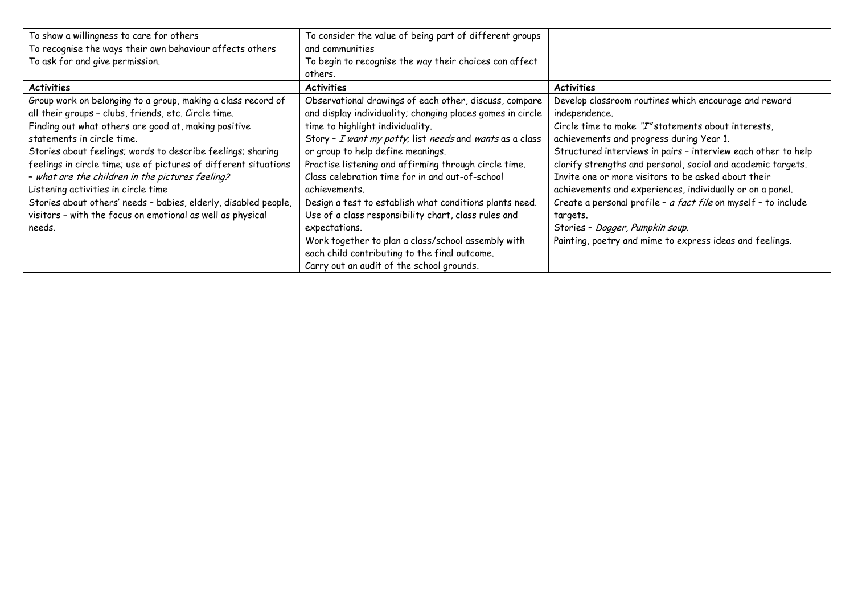| To show a willingness to care for others                         | To consider the value of being part of different groups    |                                                                |
|------------------------------------------------------------------|------------------------------------------------------------|----------------------------------------------------------------|
| To recognise the ways their own behaviour affects others         | and communities                                            |                                                                |
| To ask for and give permission.                                  | To begin to recognise the way their choices can affect     |                                                                |
|                                                                  | others.                                                    |                                                                |
| <b>Activities</b>                                                | <b>Activities</b>                                          | <b>Activities</b>                                              |
| Group work on belonging to a group, making a class record of     | Observational drawings of each other, discuss, compare     | Develop classroom routines which encourage and reward          |
| all their groups - clubs, friends, etc. Circle time.             | and display individuality; changing places games in circle | independence.                                                  |
| Finding out what others are good at, making positive             | time to highlight individuality.                           | Circle time to make "I" statements about interests.            |
| statements in circle time.                                       | Story - I want my potty, list needs and wants as a class   | achievements and progress during Year 1.                       |
| Stories about feelings; words to describe feelings; sharing      | or group to help define meanings.                          | Structured interviews in pairs - interview each other to help  |
| feelings in circle time; use of pictures of different situations | Practise listening and affirming through circle time.      | clarify strengths and personal, social and academic targets.   |
| - what are the children in the pictures feeling?                 | Class celebration time for in and out-of-school            | Invite one or more visitors to be asked about their            |
| Listening activities in circle time                              | achievements.                                              | achievements and experiences, individually or on a panel.      |
| Stories about others' needs - babies, elderly, disabled people,  | Design a test to establish what conditions plants need.    | Create a personal profile - a fact file on myself - to include |
| visitors - with the focus on emotional as well as physical       | Use of a class responsibility chart, class rules and       | targets.                                                       |
| needs.                                                           | expectations.                                              | Stories - Dogger, Pumpkin soup.                                |
|                                                                  | Work together to plan a class/school assembly with         | Painting, poetry and mime to express ideas and feelings.       |
|                                                                  | each child contributing to the final outcome.              |                                                                |
|                                                                  | Carry out an audit of the school grounds.                  |                                                                |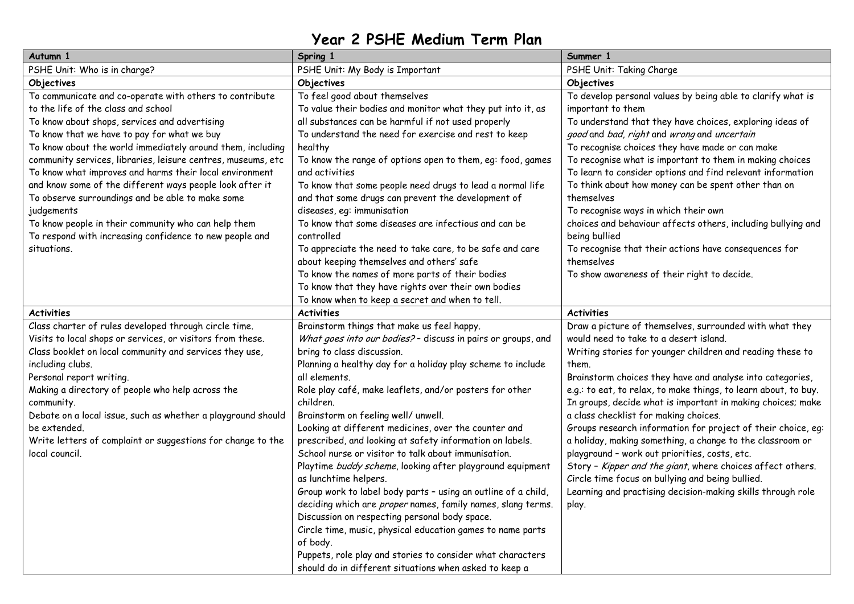## **Year 2 PSHE Medium Term Plan**

| Autumn 1                                                                                                                                                                                                                                                                                                                                                                                                                                                                                                                                                                                                                                               | Spring 1                                                                                                                                                                                                                                                                                                                                                                                                                                                                                                                                                                                                                                                                                                                                                                                                                                                                                                                                                                                    | Summer 1                                                                                                                                                                                                                                                                                                                                                                                                                                                                                                                                                                                                                                                                                                                                                                                |
|--------------------------------------------------------------------------------------------------------------------------------------------------------------------------------------------------------------------------------------------------------------------------------------------------------------------------------------------------------------------------------------------------------------------------------------------------------------------------------------------------------------------------------------------------------------------------------------------------------------------------------------------------------|---------------------------------------------------------------------------------------------------------------------------------------------------------------------------------------------------------------------------------------------------------------------------------------------------------------------------------------------------------------------------------------------------------------------------------------------------------------------------------------------------------------------------------------------------------------------------------------------------------------------------------------------------------------------------------------------------------------------------------------------------------------------------------------------------------------------------------------------------------------------------------------------------------------------------------------------------------------------------------------------|-----------------------------------------------------------------------------------------------------------------------------------------------------------------------------------------------------------------------------------------------------------------------------------------------------------------------------------------------------------------------------------------------------------------------------------------------------------------------------------------------------------------------------------------------------------------------------------------------------------------------------------------------------------------------------------------------------------------------------------------------------------------------------------------|
| PSHE Unit: Who is in charge?                                                                                                                                                                                                                                                                                                                                                                                                                                                                                                                                                                                                                           | PSHE Unit: My Body is Important                                                                                                                                                                                                                                                                                                                                                                                                                                                                                                                                                                                                                                                                                                                                                                                                                                                                                                                                                             | PSHE Unit: Taking Charge                                                                                                                                                                                                                                                                                                                                                                                                                                                                                                                                                                                                                                                                                                                                                                |
| Objectives                                                                                                                                                                                                                                                                                                                                                                                                                                                                                                                                                                                                                                             | Objectives                                                                                                                                                                                                                                                                                                                                                                                                                                                                                                                                                                                                                                                                                                                                                                                                                                                                                                                                                                                  | Objectives                                                                                                                                                                                                                                                                                                                                                                                                                                                                                                                                                                                                                                                                                                                                                                              |
| To communicate and co-operate with others to contribute<br>to the life of the class and school<br>To know about shops, services and advertising<br>To know that we have to pay for what we buy<br>To know about the world immediately around them, including<br>community services, libraries, leisure centres, museums, etc<br>To know what improves and harms their local environment<br>and know some of the different ways people look after it<br>To observe surroundings and be able to make some<br>judgements<br>To know people in their community who can help them<br>To respond with increasing confidence to new people and<br>situations. | To feel good about themselves<br>To value their bodies and monitor what they put into it, as<br>all substances can be harmful if not used properly<br>To understand the need for exercise and rest to keep<br>healthy<br>To know the range of options open to them, eg: food, games<br>and activities<br>To know that some people need drugs to lead a normal life<br>and that some drugs can prevent the development of<br>diseases, eq: immunisation<br>To know that some diseases are infectious and can be<br>controlled<br>To appreciate the need to take care, to be safe and care<br>about keeping themselves and others' safe<br>To know the names of more parts of their bodies                                                                                                                                                                                                                                                                                                    | To develop personal values by being able to clarify what is<br>important to them<br>To understand that they have choices, exploring ideas of<br>good and bad, right and wrong and uncertain<br>To recognise choices they have made or can make<br>To recognise what is important to them in making choices<br>To learn to consider options and find relevant information<br>To think about how money can be spent other than on<br>themselves<br>To recognise ways in which their own<br>choices and behaviour affects others, including bullying and<br>being bullied<br>To recognise that their actions have consequences for<br>themselves<br>To show awareness of their right to decide.                                                                                            |
|                                                                                                                                                                                                                                                                                                                                                                                                                                                                                                                                                                                                                                                        | To know that they have rights over their own bodies<br>To know when to keep a secret and when to tell.                                                                                                                                                                                                                                                                                                                                                                                                                                                                                                                                                                                                                                                                                                                                                                                                                                                                                      |                                                                                                                                                                                                                                                                                                                                                                                                                                                                                                                                                                                                                                                                                                                                                                                         |
| <b>Activities</b>                                                                                                                                                                                                                                                                                                                                                                                                                                                                                                                                                                                                                                      | <b>Activities</b>                                                                                                                                                                                                                                                                                                                                                                                                                                                                                                                                                                                                                                                                                                                                                                                                                                                                                                                                                                           | <b>Activities</b>                                                                                                                                                                                                                                                                                                                                                                                                                                                                                                                                                                                                                                                                                                                                                                       |
| Class charter of rules developed through circle time.<br>Visits to local shops or services, or visitors from these.<br>Class booklet on local community and services they use,<br>including clubs.<br>Personal report writing.<br>Making a directory of people who help across the<br>community.<br>Debate on a local issue, such as whether a playground should<br>be extended.<br>Write letters of complaint or suggestions for change to the<br>local council.                                                                                                                                                                                      | Brainstorm things that make us feel happy.<br>What goes into our bodies? - discuss in pairs or groups, and<br>bring to class discussion.<br>Planning a healthy day for a holiday play scheme to include<br>all elements.<br>Role play café, make leaflets, and/or posters for other<br>children.<br>Brainstorm on feeling well/ unwell.<br>Looking at different medicines, over the counter and<br>prescribed, and looking at safety information on labels.<br>School nurse or visitor to talk about immunisation.<br>Playtime buddy scheme, looking after playground equipment<br>as lunchtime helpers.<br>Group work to label body parts - using an outline of a child,<br>deciding which are proper names, family names, slang terms.<br>Discussion on respecting personal body space.<br>Circle time, music, physical education games to name parts<br>of body.<br>Puppets, role play and stories to consider what characters<br>should do in different situations when asked to keep a | Draw a picture of themselves, surrounded with what they<br>would need to take to a desert island.<br>Writing stories for younger children and reading these to<br>them.<br>Brainstorm choices they have and analyse into categories,<br>e.g.: to eat, to relax, to make things, to learn about, to buy.<br>In groups, decide what is important in making choices; make<br>a class checklist for making choices.<br>Groups research information for project of their choice, eg:<br>a holiday, making something, a change to the classroom or<br>playground - work out priorities, costs, etc.<br>Story - Kipper and the giant, where choices affect others.<br>Circle time focus on bullying and being bullied.<br>Learning and practising decision-making skills through role<br>play. |